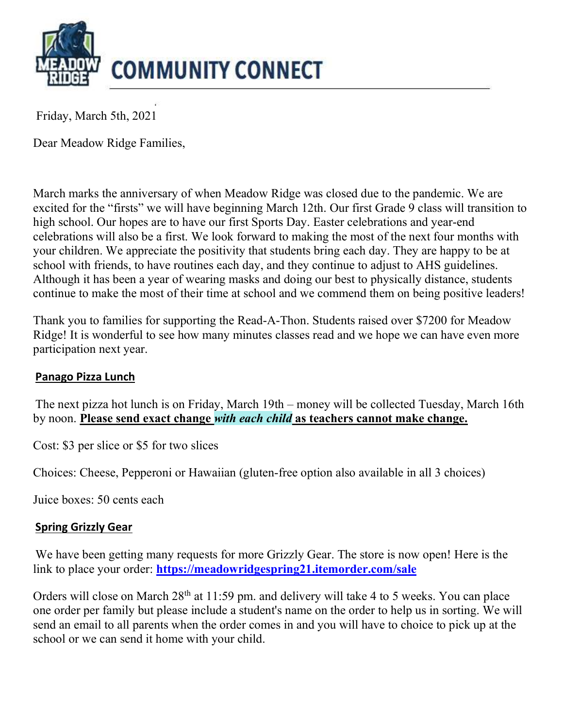

Friday, March 5th, 2021

Dear Meadow Ridge Families,

March marks the anniversary of when Meadow Ridge was closed due to the pandemic. We are excited for the "firsts" we will have beginning March 12th. Our first Grade 9 class will transition to high school. Our hopes are to have our first Sports Day. Easter celebrations and year-end celebrations will also be a first. We look forward to making the most of the next four months with your children. We appreciate the positivity that students bring each day. They are happy to be at school with friends, to have routines each day, and they continue to adjust to AHS guidelines. Although it has been a year of wearing masks and doing our best to physically distance, students continue to make the most of their time at school and we commend them on being positive leaders!

Thank you to families for supporting the Read-A-Thon. Students raised over \$7200 for Meadow Ridge! It is wonderful to see how many minutes classes read and we hope we can have even more participation next year.

### Panago Pizza Lunch

The next pizza hot lunch is on Friday, March 19th – money will be collected Tuesday, March 16th by noon. Please send exact change with each child as teachers cannot make change.

Cost: \$3 per slice or \$5 for two slices

Choices: Cheese, Pepperoni or Hawaiian (gluten-free option also available in all 3 choices)

Juice boxes: 50 cents each

### Spring Grizzly Gear

We have been getting many requests for more Grizzly Gear. The store is now open! Here is the link to place your order: https://meadowridgespring21.itemorder.com/sale

Orders will close on March 28<sup>th</sup> at 11:59 pm. and delivery will take 4 to 5 weeks. You can place one order per family but please include a student's name on the order to help us in sorting. We will send an email to all parents when the order comes in and you will have to choice to pick up at the school or we can send it home with your child.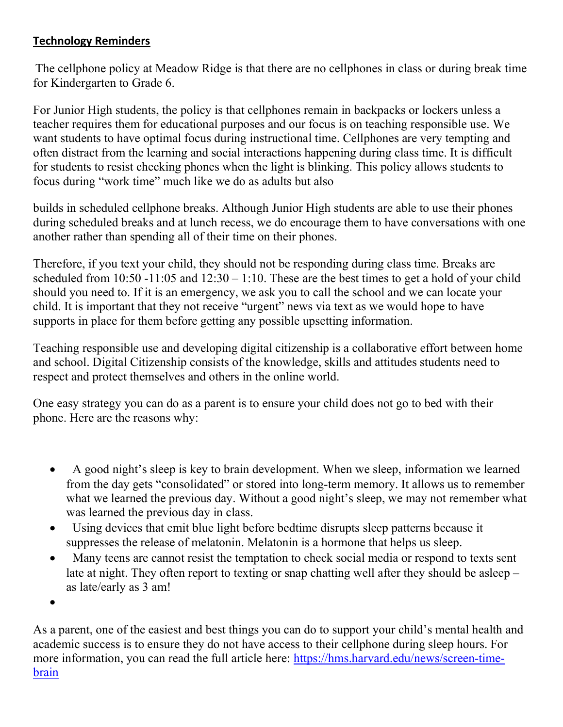# Technology Reminders

The cellphone policy at Meadow Ridge is that there are no cellphones in class or during break time for Kindergarten to Grade 6.

For Junior High students, the policy is that cellphones remain in backpacks or lockers unless a teacher requires them for educational purposes and our focus is on teaching responsible use. We want students to have optimal focus during instructional time. Cellphones are very tempting and often distract from the learning and social interactions happening during class time. It is difficult for students to resist checking phones when the light is blinking. This policy allows students to focus during "work time" much like we do as adults but also

builds in scheduled cellphone breaks. Although Junior High students are able to use their phones during scheduled breaks and at lunch recess, we do encourage them to have conversations with one another rather than spending all of their time on their phones.

Therefore, if you text your child, they should not be responding during class time. Breaks are scheduled from  $10:50 -11:05$  and  $12:30 -1:10$ . These are the best times to get a hold of your child should you need to. If it is an emergency, we ask you to call the school and we can locate your child. It is important that they not receive "urgent" news via text as we would hope to have supports in place for them before getting any possible upsetting information.

Teaching responsible use and developing digital citizenship is a collaborative effort between home and school. Digital Citizenship consists of the knowledge, skills and attitudes students need to respect and protect themselves and others in the online world.

One easy strategy you can do as a parent is to ensure your child does not go to bed with their phone. Here are the reasons why:

- A good night's sleep is key to brain development. When we sleep, information we learned from the day gets "consolidated" or stored into long-term memory. It allows us to remember what we learned the previous day. Without a good night's sleep, we may not remember what was learned the previous day in class.
- Using devices that emit blue light before bedtime disrupts sleep patterns because it suppresses the release of melatonin. Melatonin is a hormone that helps us sleep.
- Many teens are cannot resist the temptation to check social media or respond to texts sent late at night. They often report to texting or snap chatting well after they should be asleep – as late/early as 3 am!

 $\bullet$ 

As a parent, one of the easiest and best things you can do to support your child's mental health and academic success is to ensure they do not have access to their cellphone during sleep hours. For more information, you can read the full article here: https://hms.harvard.edu/news/screen-timebrain